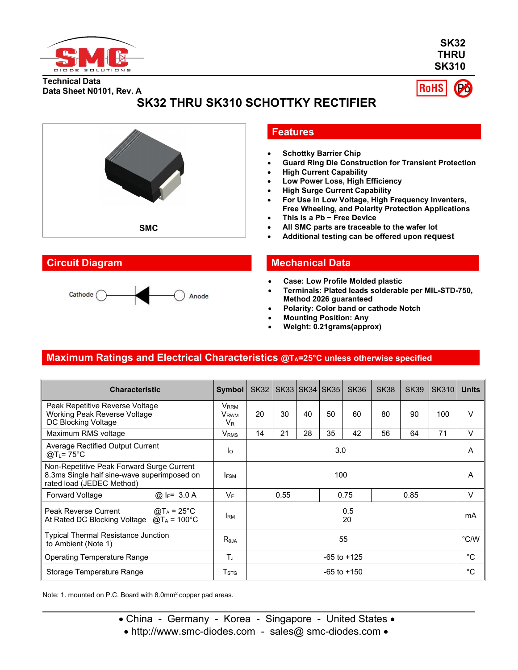

**SK32 THRU SK310**

**RoHS** 

# **Technical Data Data Sheet N0101, Rev. A**

**SK32 THRU SK310 SCHOTTKY RECTIFIER**



# **Features**

- **Schottky Barrier Chip**
- **Guard Ring Die Construction for Transient Protection**
- **High Current Capability**
- **Low Power Loss, High Efficiency**
- **High Surge Current Capability**
- **For Use in Low Voltage, High Frequency Inventers, Free Wheeling, and Polarity Protection Applications**
- **This is a Pb − Free Device**
- **All SMC parts are traceable to the wafer lot**
- **Additional testing can be offered upon request**

## **Circuit Diagram Mechanical Data**

- **Case: Low Profile Molded plastic**
- **Terminals: Plated leads solderable per MIL-STD-750, Method 2026 guaranteed**
- **Polarity: Color band or cathode Notch**
- **Mounting Position: Any**
- **Weight: 0.21grams(approx)**

# **Maximum Ratings and Electrical Characteristics @TA=25°C unless otherwise specified**

| <b>Characteristic</b>                                                                                                 | Symbol                                                        | <b>SK32</b> |      |    | SK33   SK34   SK35 | <b>SK36</b>     | <b>SK38</b> | <b>SK39</b> | <b>SK310</b> | <b>Units</b> |
|-----------------------------------------------------------------------------------------------------------------------|---------------------------------------------------------------|-------------|------|----|--------------------|-----------------|-------------|-------------|--------------|--------------|
| Peak Repetitive Reverse Voltage<br>Working Peak Reverse Voltage<br>DC Blocking Voltage                                | <b>V</b> <sub>RRM</sub><br><b>V</b> <sub>RWM</sub><br>$V_{R}$ | 20          | 30   | 40 | 50                 | 60              | 80          | 90          | 100          | V            |
| Maximum RMS voltage                                                                                                   | <b>V</b> <sub>RMS</sub>                                       | 14          | 21   | 28 | 35                 | 42              | 56          | 64          | 71           | V            |
| Average Rectified Output Current<br>@T <sub>L</sub> = 75°C                                                            | Ιo                                                            | 3.0         |      |    | Α                  |                 |             |             |              |              |
| Non-Repetitive Peak Forward Surge Current<br>8.3ms Single half sine-wave superimposed on<br>rated load (JEDEC Method) | <b>IFSM</b>                                                   |             |      |    | 100                |                 |             |             |              | A            |
| Forward Voltage<br>@ $I_F = 3.0 A$                                                                                    | VF                                                            |             | 0.55 |    |                    | 0.75            |             | 0.85        |              | V            |
| l Peak Reverse Current<br>@T <sub>A</sub> = 25°C<br>$@T_A = 100°C$<br>At Rated DC Blocking Voltage                    | <b>IRM</b>                                                    | 0.5<br>20   |      |    | mA                 |                 |             |             |              |              |
| Typical Thermal Resistance Junction<br>to Ambient (Note 1)                                                            | $R_{\theta$ JA                                                | 55          |      |    | $\degree$ C/W      |                 |             |             |              |              |
| <b>Operating Temperature Range</b>                                                                                    | $T_{\rm J}$                                                   |             |      |    | $-65$ to $+125$    |                 |             | $^{\circ}C$ |              |              |
| Storage Temperature Range                                                                                             | $\mathsf{T}_{\text{STG}}$                                     |             |      |    |                    | $-65$ to $+150$ |             |             |              | $^{\circ}C$  |

Note: 1. mounted on P.C. Board with 8.0mm<sup>2</sup> copper pad areas.

• China - Germany - Korea - Singapore - United States •

• http://www.smc-diodes.com - sales@ smc-diodes.com •

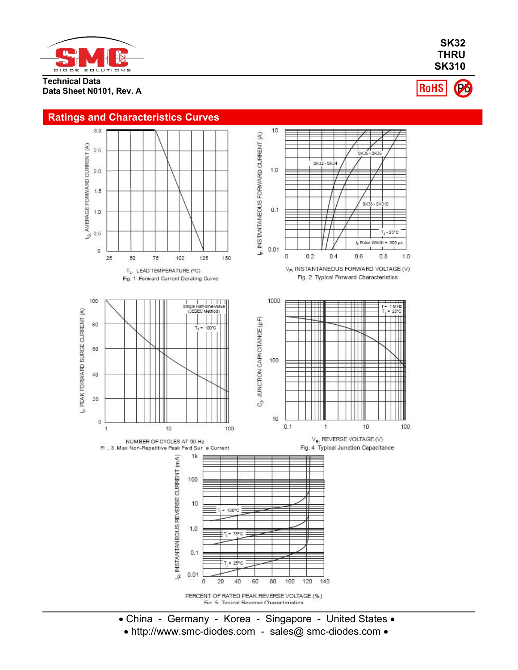

**Technical Data Data Sheet N0101, Rev. A**

**SK32 THRU SK310** RoHS

# **Ratings and Characteristics Curves**



- China Germany Korea Singapore United States
- http://www.smc-diodes.com sales@ smc-diodes.com •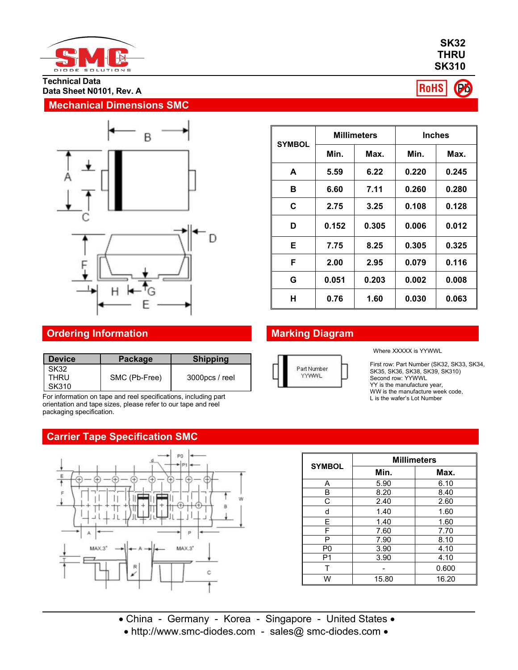

**Technical Data Data Sheet N0101, Rev. A**

## **Mechanical Dimensions SMC**



| <b>SYMBOL</b> |       | <b>Millimeters</b> | <b>Inches</b> |       |  |  |
|---------------|-------|--------------------|---------------|-------|--|--|
|               | Min.  | Max.               | Min.          | Max.  |  |  |
| A             | 5.59  | 6.22               | 0.220         | 0.245 |  |  |
| в             | 6.60  | 7.11               | 0.260         | 0.280 |  |  |
| C             | 2.75  | 3.25               | 0.108         | 0.128 |  |  |
| D             | 0.152 | 0.305              | 0.006         | 0.012 |  |  |
| Е             | 7.75  | 8.25               | 0.305         | 0.325 |  |  |
| F             | 2.00  | 2.95               | 0.079         | 0.116 |  |  |
| G             | 0.051 | 0.203              | 0.002         | 0.008 |  |  |
| н             | 0.76  | 1.60               | 0.030         | 0.063 |  |  |

# **Ordering Information Marking Diagram**

| <b>Device</b>         | Package       | <b>Shipping</b> |                     |
|-----------------------|---------------|-----------------|---------------------|
| SK32<br>THRU<br>SK310 | SMC (Pb-Free) | 3000pcs / reel  | Part Numbe<br>YYWWL |

For information on tape and reel specifications, including part orientation and tape sizes, please refer to our tape and reel packaging specification.

# **Carrier Tape Specification SMC**



|  | Part Number |  |
|--|-------------|--|
|  | 256661      |  |

Where XXXXX is YYWWL

First row: Part Number (SK32, SK33, SK34, SK35, SK36, SK38, SK39, SK310) Second row: YYWWL YY is the manufacture year, WW is the manufacture week code,<br>L is the wafer's Lot Number

|                | <b>Millimeters</b> |       |  |  |  |  |
|----------------|--------------------|-------|--|--|--|--|
| <b>SYMBOL</b>  | Min.               | Max.  |  |  |  |  |
| A              | 5.90               | 6.10  |  |  |  |  |
| B              | 8.20               | 8.40  |  |  |  |  |
| С              | 2.40               | 2.60  |  |  |  |  |
| d              | 1.40               | 1.60  |  |  |  |  |
| E              | 1.40               | 1.60  |  |  |  |  |
| F              | 7.60               | 7.70  |  |  |  |  |
| P              | 7.90               | 8.10  |  |  |  |  |
| P <sub>0</sub> | 3.90               | 4.10  |  |  |  |  |
| P <sub>1</sub> | 3.90               | 4.10  |  |  |  |  |
|                |                    | 0.600 |  |  |  |  |
| W              | 15.80              | 16.20 |  |  |  |  |

- 
- China Germany Korea Singapore United States •
- http://www.smc-diodes.com sales@ smc-diodes.com •

#### **SK32 THRU SK310**